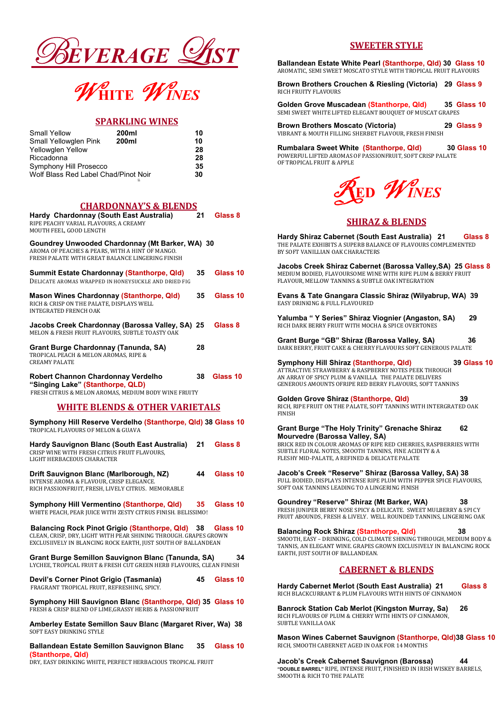



### SPARKLING WINES

| <b>Small Yellow</b>                  | 200ml | 10 |
|--------------------------------------|-------|----|
| <b>Small Yellowglen Pink</b>         | 200ml | 10 |
| Yellowglen Yellow                    |       | 28 |
| Riccadonna                           |       | 28 |
| <b>Symphony Hill Prosecco</b>        |       | 35 |
| Wolf Blass Red Label Chad/Pinot Noir |       | 30 |
|                                      | SS    |    |

# CHARDONNAY'S & BLENDS

| <u> UNAKDUNNAT 5 &amp; DLENDS</u><br>Hardy Chardonnay (South East Australia)<br>RIPE PEACHY VARIAL FLAVOURS, A CREAMY<br>MOUTH FEEL, GOOD LENGTH       | 21              | <b>Glass 8</b> |
|--------------------------------------------------------------------------------------------------------------------------------------------------------|-----------------|----------------|
| Goundrey Unwooded Chardonnay (Mt Barker, WA) 30<br>AROMA OF PEACHES & PEARS, WITH A HINT OF MANGO.<br>FRESH PALATE WITH GREAT BALANCE LINGERING FINISH |                 |                |
| <b>Summit Estate Chardonnay (Stanthorpe, Qld)</b><br>DELICATE AROMAS WRAPPED IN HONEYSUCKLE AND DRIED FIG                                              | 35              | Glass 10       |
| <b>Mason Wines Chardonnay (Stanthorpe, Qld)</b><br>RICH & CRISP ON THE PALATE, DISPLAYS WELL<br><b>INTEGRATED FRENCH OAK</b>                           | 35 <sub>2</sub> | Glass 10       |
| Jacobs Creek Chardonnay (Barossa Valley, SA) 25<br>MELON & FRESH FRUIT FLAVOURS, SUBTLE TOASTY OAK                                                     |                 | Glass 8        |
| <b>Grant Burge Chardonnay (Tanunda, SA)</b><br>TROPICAL PEACH & MELON AROMAS, RIPE &<br><b>CREAMY PALATE</b>                                           | 28              |                |
| <b>Robert Channon Chardonnay Verdelho</b><br>"Singing Lake" (Stanthorpe, QLD)<br>FRESH CITRUS & MELON AROMAS, MEDIUM BODY WINE FRUITY                  | 38              | Glass 10       |
| <b>WHITE BLENDS &amp; OTHER VARIETALS</b>                                                                                                              |                 |                |
| Symphony Hill Reserve Verdelho (Stanthorpe, Qld) 38 Glass 10<br>TROPICAL FLAVOURS OF MELON & GUAVA                                                     |                 |                |
| Hardy Sauvignon Blanc (South East Australia)<br>CRISP WINE WITH FRESH CITRUS FRUIT FLAVOURS.<br>LIGHT HERBACEOUS CHARACTER                             | 21              | <b>Glass 8</b> |
| Drift Sauvignon Blanc (Marlborough, NZ)<br>INTENSE AROMA & FLAVOUR, CRISP ELEGANCE.<br>RICH PASSIONFRUIT, FRESH, LIVELY CITRUS. MEMORABLE              | 44              | Glass 10       |
| <b>Symphony Hill Vermentino (Stanthorpe, Qld)</b><br>WHITE PEACH, PEAR JUICE WITH ZESTY CITRUS FINISH. BELISSIMO!                                      | 35.             | Glass 10       |

 Balancing Rock Pinot Grigio (Stanthorpe, Qld) 38 Glass 10 CLEAN, CRISP, DRY, LIGHT WITH PEAR SHINING THROUGH. GRAPES GROWN

EXCLUSIIVELY IN BLANCING ROCK EARTH, JUST SOUTH OF BALLANDEAN

Grant Burge Semillon Sauvignon Blanc (Tanunda, SA) 34 LYCHEE, TROPICAL FRUIT & FRESH CUT GREEN HERB FLAVOURS, CLEAN FINISH

Devil's Corner Pinot Grigio (Tasmania) 45 Glass 10 FRAGRANT TROPICAL FRUIT, REFRESHING, SPICY.

Symphony Hill Sauvignon Blanc (Stanthorpe, Qld) 35 Glass 10 FRESH & CRISP BLEND OF LIME,GRASSY HERBS & PASSIONFRUIT

Amberley Estate Semillon Sauv Blanc (Margaret River, Wa) 38 SOFT EASY DRINKING STYLE

Ballandean Estate Semillon Sauvignon Blanc 35 Glass 10 (Stanthorpe, Qld)

DRY, EASY DRINKING WHITE, PERFECT HERBACIOUS TROPICAL FRUIT

# SWEETER STYLE

Ballandean Estate White Pearl (Stanthorpe, Qld) 30 Glass 10 AROMATIC, SEMI SWEET MOSCATO STYLE WITH TROPICAL FRUIT FLAVOURS

Brown Brothers Crouchen & Riesling (Victoria) 29 Glass 9 RICH FRUITY FLAVOURS

Golden Grove Muscadean (Stanthorpe, Qld) 35 Glass 10 SEMI SWEET WHITE LIFTED ELEGANT BOUQUET OF MUSCAT GRAPES

Brown Brothers Moscato (Victoria) 29 Glass 9 VIBRANT & MOUTH FILLING SHERBET FLAVOUR, FRESH FINISH

Rumbalara Sweet White (Stanthorpe, Qld) 30 Glass 10

POWERFUL LIFTED AROMAS OF PASSIONFRUIT, SOFT CRISP PALATE OF TROPICAL FRUIT & APPLE



## SHIRAZ & BLENDS

Hardy Shiraz Cabernet (South East Australia) 21 Glass 8 THE PALATE EXHIBITS A SUPERB BALANCE OF FLAVOURS COMPLEMENTED BY SOFT VANILLIAN OAK CHARACTERS

Jacobs Creek Shiraz Cabernet (Barossa Valley,SA) 25 Glass 8 MEDIUM BODIED, FLAVOURSOME WINE WITH RIPE PLUM & BERRY FRUIT FLAVOUR, MELLOW TANNINS & SUBTLE OAK INTEGRATION

Evans & Tate Gnangara Classic Shiraz (Wilyabrup, WA) 39 EASY DRINKING & FULL FLAVOURED

Yalumba " Y Series" Shiraz Viognier (Angaston, SA) 29 RICH DARK BERRY FRUIT WITH MOCHA & SPICE OVERTONES

Grant Burge "GB" Shiraz (Barossa Valley, SA) 36 DARK BERRY, FRUIT CAKE & CHERRY FLAVOURS SOFT GENEROUS PALATE

#### Symphony Hill Shiraz (Stanthorpe, Qld) 39 Glass 10

ATTRACTIVE STRAWBERRY & RASPBERRY NOTES PEEK THROUGH AN ARRAY OF SPICY PLUM & VANILLA. THE PALATE DELIVERS GENEROUS AMOUNTS OFRIPE RED BERRY FLAVOURS, SOFT TANNINS

#### Golden Grove Shiraz (Stanthorpe, Qld) 39

RICH, RIPE FRUIT ON THE PALATE, SOFT TANNINS WITH INTERGRATED OAK FINISH

#### Grant Burge "The Holy Trinity" Grenache Shiraz 62 Mourvedre (Barossa Valley, SA)

BRICK RED IN COLOUR AROMAS OF RIPE RED CHERRIES, RASPBERRIES WITH SUBTLE FLORAL NOTES, SMOOTH TANNINS, FINE ACIDITY & A FLESHY MID-PALATE, A REFINED & DELICATE PALATE

Jacob's Creek "Reserve" Shiraz (Barossa Valley, SA) 38 FULL BODIED, DISPLAYS INTENSE RIPE PLUM WITH PEPPER SPICE FLAVOURS, SOFT OAK TANNINS LEADING TO A LINGERING FINISH

Goundrey "Reserve" Shiraz (Mt Barker, WA) 38 FRESH JUNIPER BERRY NOSE SPICY & DELICATE. SWEET MULBERRY & SPI CY FRUIT ABOUNDS, FRESH & LIVELY. WELL ROUNDED TANNINS, LINGERING OAK

## Balancing Rock Shiraz (Stanthorpe, Qld) 38

SMOOTH, EASY – DRINKING, COLD CLIMATE SHINING THROUGH, MEDIUM BODY & TANNIS, AN ELEGANT WINE. GRAPES GROWN EXCLUSIVELY IN BALANCING ROCK EARTH, JUST SOUTH OF BALLANDEAN.

#### CABERNET & BLENDS

Hardy Cabernet Merlot (South East Australia) 21 Glass 8 RICH BLACKCURRANT & PLUM FLAVOURS WITH HINTS OF CINNAMON

Banrock Station Cab Merlot (Kingston Murray, Sa) 26 RICH FLAVOURS OF PLUM & CHERRY WITH HINTS OF CINNAMON, SUBTLE VANILLA OAK

Mason Wines Cabernet Sauvignon (Stanthorpe, Qld)38 Glass 10 RICH, SMOOTH CABERNET AGED IN OAK FOR 14 MONTHS

Jacob's Creek Cabernet Sauvignon (Barossa) 44 "DOUBLE BARREL" RIPE, INTENSE FRUIT, FINISHED IN IRISH WISKEY BARRELS, SMOOTH & RICH TO THE PALATE